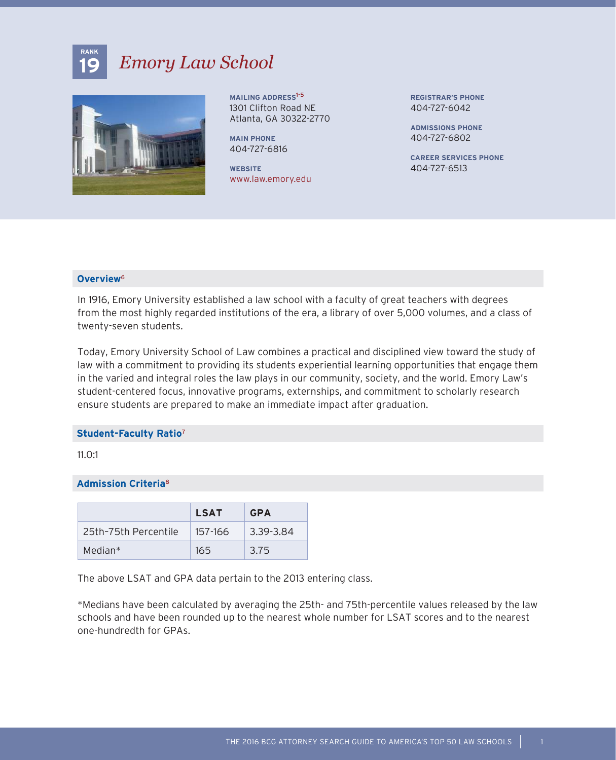# **19** *Emory Law School*



**MAILING ADDRESS**1-5 1301 Clifton Road NE Atlanta, GA 30322-2770

**MAIN PHONE** 404-727-6816

**WEBSITE** www.law.emory.edu **REGISTRAR'S PHONE** 404-727-6042

**ADMISSIONS PHONE** 404-727-6802

**CAREER SERVICES PHONE** 404-727-6513

## **Overview**<sup>6</sup>

**RANK**

In 1916, Emory University established a law school with a faculty of great teachers with degrees from the most highly regarded institutions of the era, a library of over 5,000 volumes, and a class of twenty-seven students.

Today, Emory University School of Law combines a practical and disciplined view toward the study of law with a commitment to providing its students experiential learning opportunities that engage them in the varied and integral roles the law plays in our community, society, and the world. Emory Law's student-centered focus, innovative programs, externships, and commitment to scholarly research ensure students are prepared to make an immediate impact after graduation.

#### **Student-Faculty Ratio**<sup>7</sup>

11.0:1

## **Admission Criteria**<sup>8</sup>

|                      | <b>LSAT</b> | <b>GPA</b> |
|----------------------|-------------|------------|
| 25th-75th Percentile | 157-166     | 3.39-3.84  |
| Median*              | 165         | 3.75       |

The above LSAT and GPA data pertain to the 2013 entering class.

\*Medians have been calculated by averaging the 25th- and 75th-percentile values released by the law schools and have been rounded up to the nearest whole number for LSAT scores and to the nearest one-hundredth for GPAs.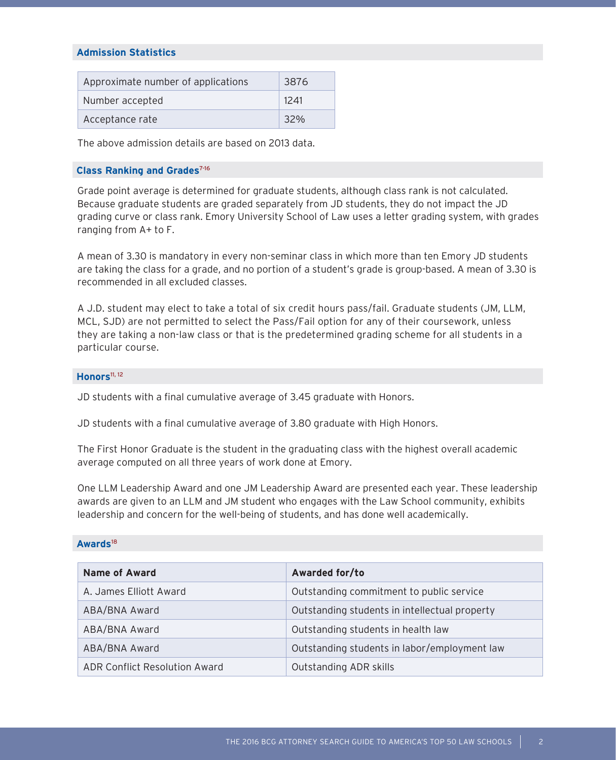### **Admission Statistics**

| Approximate number of applications | 3876 |
|------------------------------------|------|
| Number accepted                    | 1241 |
| Acceptance rate                    | 32%  |

The above admission details are based on 2013 data.

#### **Class Ranking and Grades**7-16

Grade point average is determined for graduate students, although class rank is not calculated. Because graduate students are graded separately from JD students, they do not impact the JD grading curve or class rank. Emory University School of Law uses a letter grading system, with grades ranging from A+ to F.

A mean of 3.30 is mandatory in every non-seminar class in which more than ten Emory JD students are taking the class for a grade, and no portion of a student's grade is group-based. A mean of 3.30 is recommended in all excluded classes.

A J.D. student may elect to take a total of six credit hours pass/fail. Graduate students (JM, LLM, MCL, SJD) are not permitted to select the Pass/Fail option for any of their coursework, unless they are taking a non-law class or that is the predetermined grading scheme for all students in a particular course.

#### **Honors**11, 12

JD students with a final cumulative average of 3.45 graduate with Honors.

JD students with a final cumulative average of 3.80 graduate with High Honors.

The First Honor Graduate is the student in the graduating class with the highest overall academic average computed on all three years of work done at Emory.

One LLM Leadership Award and one JM Leadership Award are presented each year. These leadership awards are given to an LLM and JM student who engages with the Law School community, exhibits leadership and concern for the well-being of students, and has done well academically.

#### **Awards**<sup>18</sup>

| <b>Name of Award</b>                 | Awarded for/to                                |
|--------------------------------------|-----------------------------------------------|
| A. James Elliott Award               | Outstanding commitment to public service      |
| ABA/BNA Award                        | Outstanding students in intellectual property |
| ABA/BNA Award                        | Outstanding students in health law            |
| ABA/BNA Award                        | Outstanding students in labor/employment law  |
| <b>ADR Conflict Resolution Award</b> | <b>Outstanding ADR skills</b>                 |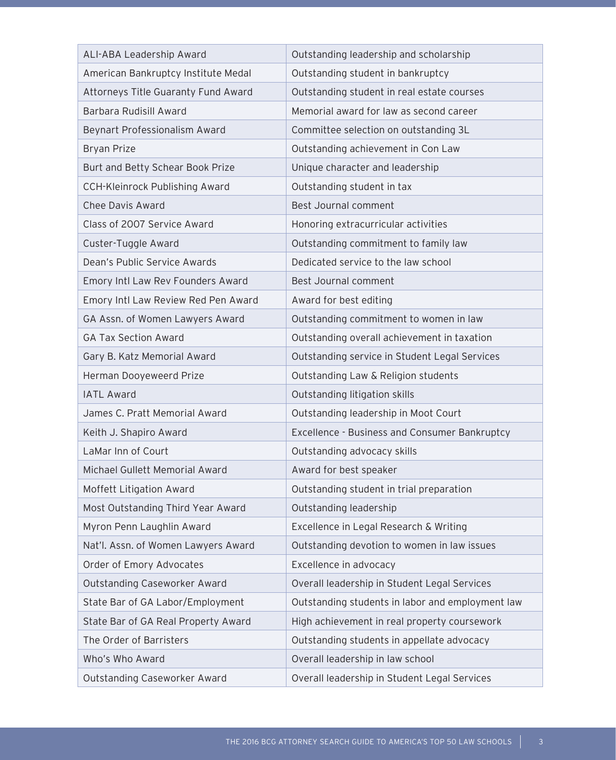| ALI-ABA Leadership Award            | Outstanding leadership and scholarship           |
|-------------------------------------|--------------------------------------------------|
| American Bankruptcy Institute Medal | Outstanding student in bankruptcy                |
| Attorneys Title Guaranty Fund Award | Outstanding student in real estate courses       |
| Barbara Rudisill Award              | Memorial award for law as second career          |
| Beynart Professionalism Award       | Committee selection on outstanding 3L            |
| <b>Bryan Prize</b>                  | Outstanding achievement in Con Law               |
| Burt and Betty Schear Book Prize    | Unique character and leadership                  |
| CCH-Kleinrock Publishing Award      | Outstanding student in tax                       |
| Chee Davis Award                    | Best Journal comment                             |
| Class of 2007 Service Award         | Honoring extracurricular activities              |
| Custer-Tuggle Award                 | Outstanding commitment to family law             |
| Dean's Public Service Awards        | Dedicated service to the law school              |
| Emory Intl Law Rev Founders Award   | Best Journal comment                             |
| Emory Intl Law Review Red Pen Award | Award for best editing                           |
| GA Assn. of Women Lawyers Award     | Outstanding commitment to women in law           |
| <b>GA Tax Section Award</b>         | Outstanding overall achievement in taxation      |
| Gary B. Katz Memorial Award         | Outstanding service in Student Legal Services    |
| Herman Dooyeweerd Prize             | Outstanding Law & Religion students              |
| <b>IATL Award</b>                   | Outstanding litigation skills                    |
| James C. Pratt Memorial Award       | Outstanding leadership in Moot Court             |
| Keith J. Shapiro Award              | Excellence - Business and Consumer Bankruptcy    |
| LaMar Inn of Court                  | Outstanding advocacy skills                      |
| Michael Gullett Memorial Award      | Award for best speaker                           |
| Moffett Litigation Award            | Outstanding student in trial preparation         |
| Most Outstanding Third Year Award   | Outstanding leadership                           |
| Myron Penn Laughlin Award           | Excellence in Legal Research & Writing           |
| Nat'l. Assn. of Women Lawyers Award | Outstanding devotion to women in law issues      |
| Order of Emory Advocates            | Excellence in advocacy                           |
| Outstanding Caseworker Award        | Overall leadership in Student Legal Services     |
| State Bar of GA Labor/Employment    | Outstanding students in labor and employment law |
| State Bar of GA Real Property Award | High achievement in real property coursework     |
| The Order of Barristers             | Outstanding students in appellate advocacy       |
| Who's Who Award                     | Overall leadership in law school                 |
| Outstanding Caseworker Award        | Overall leadership in Student Legal Services     |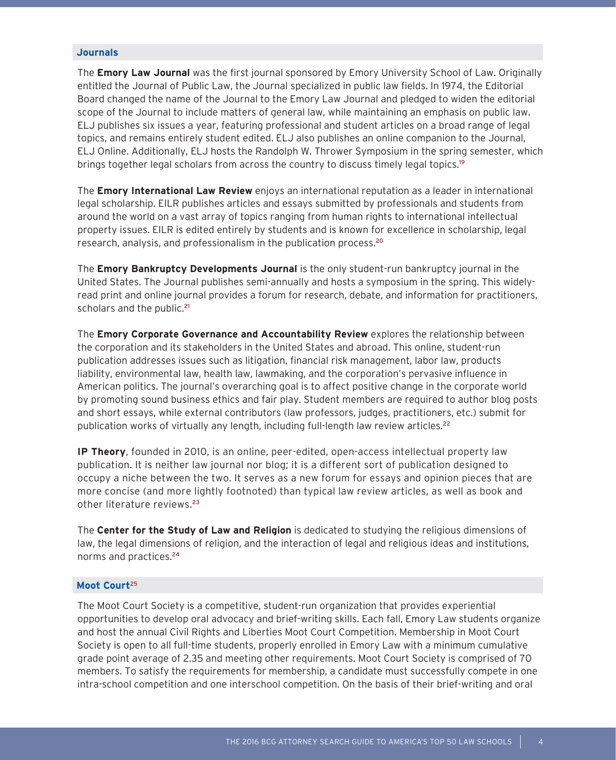#### **Journals**

The **Emory Law Journal** was the first journal sponsored by Emory University School of Law. Originally entitled the Journal of Public Law, the Journal specialized in public law fields. In 1974, the Editorial Board changed the name of the Journal to the Emory Law Journal and pledged to widen the editorial scope of the Journal to include matters of general law, while maintaining an emphasis on public law. ELJ publishes six issues a year, featuring professional and student articles on a broad range of legal topics, and remains entirely student edited. ELJ also publishes an online companion to the Journal, ELJ Online. Additionally, ELJ hosts the Randolph W. Thrower Symposium in the spring semester, which brings together legal scholars from across the country to discuss timely legal topics.<sup>19</sup>

The **Emory International Law Review** enjoys an international reputation as a leader in international legal scholarship. EILR publishes articles and essays submitted by professionals and students from around the world on a vast array of topics ranging from human rights to international intellectual property issues. EILR is edited entirely by students and is known for excellence in scholarship, legal research, analysis, and professionalism in the publication process.<sup>20</sup>

The **Emory Bankruptcy Developments Journal** is the only student-run bankruptcy journal in the United States. The Journal publishes semi-annually and hosts a symposium in the spring. This widelyread print and online journal provides a forum for research, debate, and information for practitioners, scholars and the public.<sup>21</sup>

The **Emory Corporate Governance and Accountability Review** explores the relationship between the corporation and its stakeholders in the United States and abroad. This online, student-run publication addresses issues such as litigation, financial risk management, labor law, products liability, environmental law, health law, lawmaking, and the corporation's pervasive influence in American politics. The journal's overarching goal is to affect positive change in the corporate world by promoting sound business ethics and fair play. Student members are required to author blog posts and short essays, while external contributors (law professors, judges, practitioners, etc.) submit for publication works of virtually any length, including full-length law review articles.<sup>22</sup>

**IP Theory**, founded in 2010, is an online, peer-edited, open-access intellectual property law publication. It is neither law journal nor blog; it is a different sort of publication designed to occupy a niche between the two. It serves as a new forum for essays and opinion pieces that are more concise (and more lightly footnoted) than typical law review articles, as well as book and other literature reviews.<sup>23</sup>

The **Center for the Study of Law and Religion** is dedicated to studying the religious dimensions of law, the legal dimensions of religion, and the interaction of legal and religious ideas and institutions, norms and practices.<sup>24</sup>

#### **Moot Court**<sup>25</sup>

The Moot Court Society is a competitive, student-run organization that provides experiential opportunities to develop oral advocacy and brief-writing skills. Each fall, Emory Law students organize and host the annual Civil Rights and Liberties Moot Court Competition. Membership in Moot Court Society is open to all full-time students, properly enrolled in Emory Law with a minimum cumulative grade point average of 2.35 and meeting other requirements. Moot Court Society is comprised of 70 members. To satisfy the requirements for membership, a candidate must successfully compete in one intra-school competition and one interschool competition. On the basis of their brief-writing and oral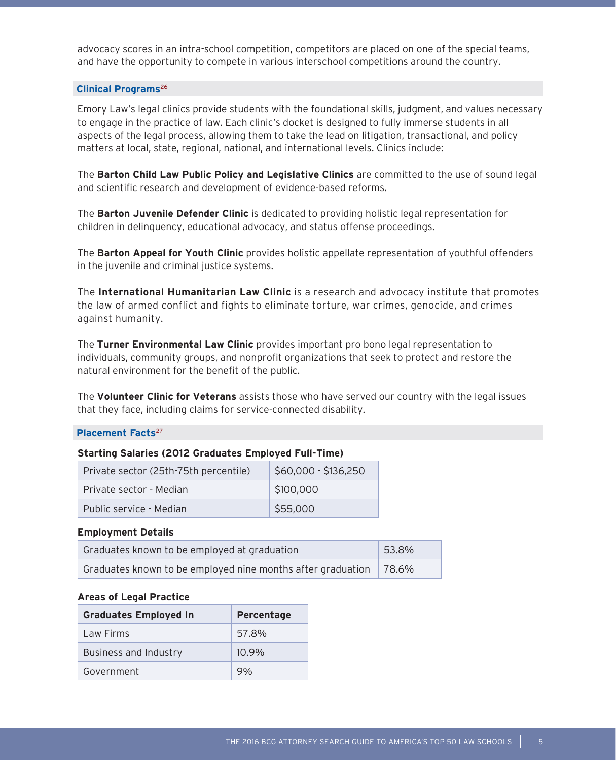advocacy scores in an intra-school competition, competitors are placed on one of the special teams, and have the opportunity to compete in various interschool competitions around the country.

### **Clinical Programs**<sup>26</sup>

Emory Law's legal clinics provide students with the foundational skills, judgment, and values necessary to engage in the practice of law. Each clinic's docket is designed to fully immerse students in all aspects of the legal process, allowing them to take the lead on litigation, transactional, and policy matters at local, state, regional, national, and international levels. Clinics include:

The **Barton Child Law Public Policy and Legislative Clinics** are committed to the use of sound legal and scientific research and development of evidence-based reforms.

The **Barton Juvenile Defender Clinic** is dedicated to providing holistic legal representation for children in delinquency, educational advocacy, and status offense proceedings.

The **Barton Appeal for Youth Clinic** provides holistic appellate representation of youthful offenders in the juvenile and criminal justice systems.

The **International Humanitarian Law Clinic** is a research and advocacy institute that promotes the law of armed conflict and fights to eliminate torture, war crimes, genocide, and crimes against humanity.

The **Turner Environmental Law Clinic** provides important pro bono legal representation to individuals, community groups, and nonprofit organizations that seek to protect and restore the natural environment for the benefit of the public.

The **Volunteer Clinic for Veterans** assists those who have served our country with the legal issues that they face, including claims for service-connected disability.

### **Placement Facts**<sup>27</sup>

#### **Starting Salaries (2012 Graduates Employed Full-Time)**

| Private sector (25th-75th percentile) | \$60,000 - \$136,250 |
|---------------------------------------|----------------------|
| Private sector - Median               | \$100,000            |
| Public service - Median               | \$55,000             |

### **Employment Details**

| Graduates known to be employed at graduation                | 53.8%     |
|-------------------------------------------------------------|-----------|
| Graduates known to be employed nine months after graduation | $178.6\%$ |

#### **Areas of Legal Practice**

| <b>Graduates Employed In</b> | Percentage |
|------------------------------|------------|
| Law Firms                    | 57.8%      |
| <b>Business and Industry</b> | $10.9\%$   |
| Government                   | $9\%$      |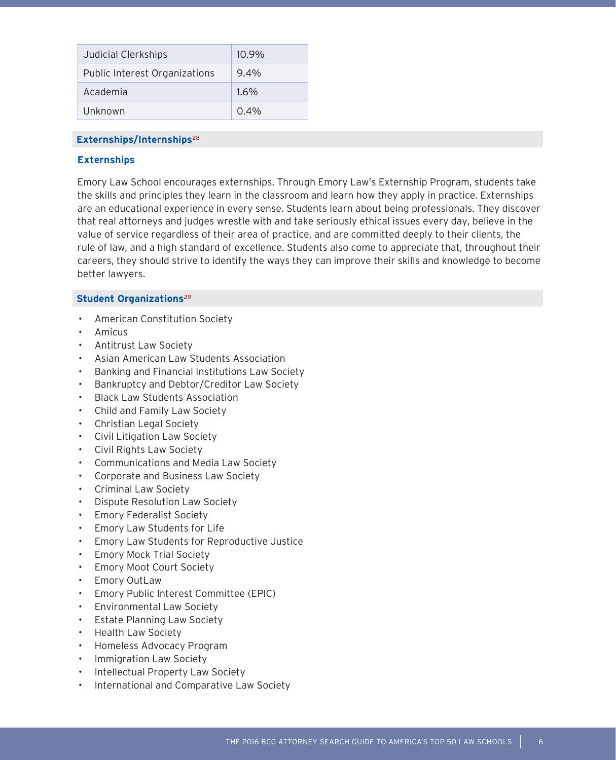| Judicial Clerkships                  | $10.9\%$ |
|--------------------------------------|----------|
| <b>Public Interest Organizations</b> | $9.4\%$  |
| Academia                             | $1.6\%$  |
| Unknown                              | $0.4\%$  |

## **Externships/Internships**<sup>28</sup>

### **Externships**

Emory Law School encourages externships. Through Emory Law's Externship Program, students take the skills and principles they learn in the classroom and learn how they apply in practice. Externships are an educational experience in every sense. Students learn about being professionals. They discover that real attorneys and judges wrestle with and take seriously ethical issues every day, believe in the value of service regardless of their area of practice, and are committed deeply to their clients, the rule of law, and a high standard of excellence. Students also come to appreciate that, throughout their careers, they should strive to identify the ways they can improve their skills and knowledge to become better lawyers.

### **Student Organizations**<sup>29</sup>

- American Constitution Society
- Amicus
- Antitrust Law Society
- Asian American Law Students Association
- Banking and Financial Institutions Law Society
- Bankruptcy and Debtor/Creditor Law Society
- Black Law Students Association
- Child and Family Law Society
- Christian Legal Society
- Civil Litigation Law Society
- Civil Rights Law Society
- Communications and Media Law Society
- Corporate and Business Law Society
- Criminal Law Society
- Dispute Resolution Law Society
- Emory Federalist Society
- Emory Law Students for Life
- Emory Law Students for Reproductive Justice
- Emory Mock Trial Society
- Emory Moot Court Society
- **Emory OutLaw**
- Emory Public Interest Committee (EPIC)
- Environmental Law Society
- **Estate Planning Law Society**
- Health Law Society
- Homeless Advocacy Program
- Immigration Law Society
- Intellectual Property Law Society
- International and Comparative Law Society